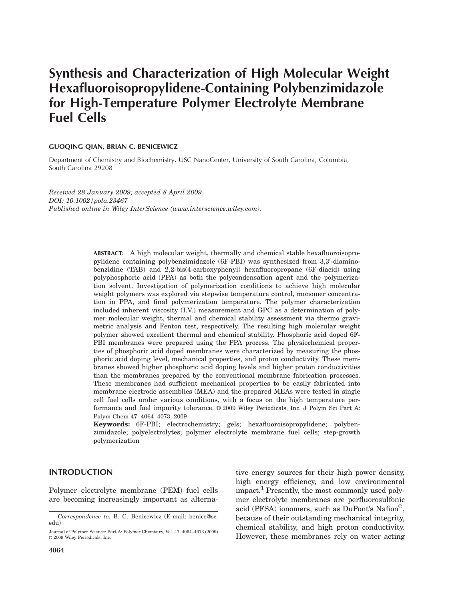# Synthesis and Characterization of High Molecular Weight Hexafluoroisopropylidene-Containing Polybenzimidazole for High-Temperature Polymer Electrolyte Membrane Fuel Cells

# GUOQING QIAN, BRIAN C. BENICEWICZ

Department of Chemistry and Biochemistry, USC NanoCenter, University of South Carolina, Columbia, South Carolina 29208

Received 28 January 2009; accepted 8 April 2009 DOI: 10.1002/pola.23467 Published online in Wiley InterScience (www.interscience.wiley.com).

> ABSTRACT: A high molecular weight, thermally and chemical stable hexafluoroisopropylidene containing polybenzimidazole (6F-PBI) was synthesized from 3,3'-diaminobenzidine (TAB) and 2,2-bis(4-carboxyphenyl) hexafluoropropane (6F-diacid) using polyphosphoric acid (PPA) as both the polycondensation agent and the polymerization solvent. Investigation of polymerization conditions to achieve high molecular weight polymers was explored via stepwise temperature control, monomer concentration in PPA, and final polymerization temperature. The polymer characterization included inherent viscosity (I.V.) measurement and GPC as a determination of polymer molecular weight, thermal and chemical stability assessment via thermo gravimetric analysis and Fenton test, respectively. The resulting high molecular weight polymer showed excellent thermal and chemical stability. Phosphoric acid doped 6F-PBI membranes were prepared using the PPA process. The physiochemical properties of phosphoric acid doped membranes were characterized by measuring the phosphoric acid doping level, mechanical properties, and proton conductivity. These membranes showed higher phosphoric acid doping levels and higher proton conductivities than the membranes prepared by the conventional membrane fabrication processes. These membranes had sufficient mechanical properties to be easily fabricated into membrane electrode assemblies (MEA) and the prepared MEAs were tested in single cell fuel cells under various conditions, with a focus on the high temperature performance and fuel impurity tolerance. © 2009 Wiley Periodicals, Inc. J Polym Sci Part A: Polym Chem 47: 4064–4073, 2009

> Keywords: 6F-PBI; electrochemistry; gels; hexafluoroisopropylidene; polybenzimidazole; polyelectrolytes; polymer electrolyte membrane fuel cells; step-growth polymerization

# INTRODUCTION

Polymer electrolyte membrane (PEM) fuel cells are becoming increasingly important as alterna-

tive energy sources for their high power density, high energy efficiency, and low environmental impact.<sup>1</sup> Presently, the most commonly used polymer electrolyte membranes are perfluorosulfonic acid (PFSA) ionomers, such as DuPont's Nafion®, because of their outstanding mechanical integrity, chemical stability, and high proton conductivity. Journal of Polymer Science: Part A: Polymer Chemistry, Vol. 47, 4064–4073 (2009)<br>© 2009 Wiley Periodicals, Inc. [11] However, these membranes rely on water acting

Correspondence to: B. C. Benicewicz (E-mail: benice@sc. edu)

 $© 2009 Wiley Periodicals, Inc.$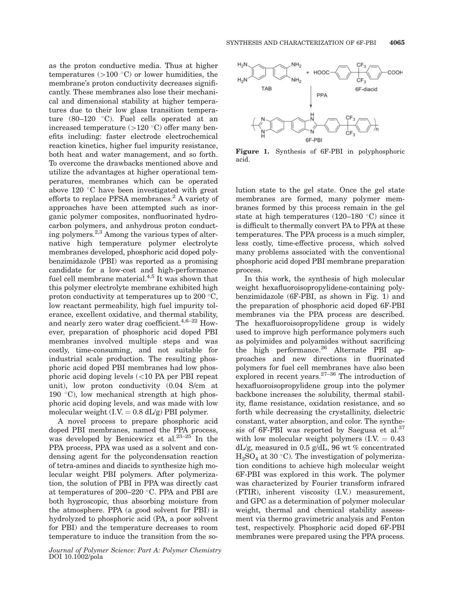as the proton conductive media. Thus at higher temperatures  $(>100 \degree C)$  or lower humidities, the membrane's proton conductivity decreases significantly. These membranes also lose their mechanical and dimensional stability at higher temperatures due to their low glass transition temperature  $(80-120$  °C). Fuel cells operated at an increased temperature  $(>120 \degree C)$  offer many benefits including: faster electrode electrochemical reaction kinetics, higher fuel impurity resistance, both heat and water management, and so forth. To overcome the drawbacks mentioned above and utilize the advantages at higher operational temperatures, membranes which can be operated above  $120$  °C have been investigated with great efforts to replace PFSA membranes. $<sup>2</sup>$  A variety of</sup> approaches have been attempted such as inorganic polymer composites, nonfluorinated hydrocarbon polymers, and anhydrous proton conducting polymers.2,3 Among the various types of alternative high temperature polymer electrolyte membranes developed, phosphoric acid doped polybenzimidazole (PBI) was reported as a promising candidate for a low-cost and high-performance fuel cell membrane material. $4,5$  It was shown that this polymer electrolyte membrane exhibited high proton conductivity at temperatures up to 200  $\degree$ C, low reactant permeability, high fuel impurity tolerance, excellent oxidative, and thermal stability, and nearly zero water drag coefficient. $4,6-22$  However, preparation of phosphoric acid doped PBI membranes involved multiple steps and was costly, time-consuming, and not suitable for industrial scale production. The resulting phosphoric acid doped PBI membranes had low phosphoric acid doping levels (\10 PA per PBI repeat unit), low proton conductivity (0.04 S/cm at 190  $\degree$ C), low mechanical strength at high phosphoric acid doping levels, and was made with low molecular weight  $(I.V. = 0.8$  dL/g) PBI polymer.

A novel process to prepare phosphoric acid doped PBI membranes, named the PPA process, was developed by Benicewicz et al.<sup>23-25</sup> In the PPA process, PPA was used as a solvent and condensing agent for the polycondensation reaction of tetra-amines and diacids to synthesize high molecular weight PBI polymers. After polymerization, the solution of PBI in PPA was directly cast at temperatures of 200–220  $\degree$ C. PPA and PBI are both hygroscopic, thus absorbing moisture from the atmosphere. PPA (a good solvent for PBI) is hydrolyzed to phosphoric acid (PA, a poor solvent for PBI) and the temperature decreases to room temperature to induce the transition from the so-





Figure 1. Synthesis of 6F-PBI in polyphosphoric acid.

lution state to the gel state. Once the gel state membranes are formed, many polymer membranes formed by this process remain in the gel state at high temperatures  $(120-180 \degree C)$  since it is difficult to thermally convert PA to PPA at these temperatures. The PPA process is a much simpler, less costly, time-effective process, which solved many problems associated with the conventional phosphoric acid doped PBI membrane preparation process.

In this work, the synthesis of high molecular weight hexafluoroisopropylidene-containing polybenzimidazole (6F-PBI, as shown in Fig. 1) and the preparation of phosphoric acid doped 6F-PBI membranes via the PPA process are described. The hexafluoroisopropylidene group is widely used to improve high performance polymers such as polyimides and polyamides without sacrificing the high performance.<sup>26</sup> Alternate PBI approaches and new directions in fluorinated polymers for fuel cell membranes have also been explored in recent years. $27-36$  The introduction of hexafluoroisopropylidene group into the polymer backbone increases the solubility, thermal stability, flame resistance, oxidation resistance, and so forth while decreasing the crystallinity, dielectric constant, water absorption, and color. The synthesis of 6F-PBI was reported by Saegusa et al.<sup>37</sup> with low molecular weight polymers  $(I.V. = 0.43$ dL/g, measured in 0.5 g/dL, 96 wt % concentrated  $H<sub>2</sub>SO<sub>4</sub>$  at 30 °C). The investigation of polymerization conditions to achieve high molecular weight 6F-PBI was explored in this work. The polymer was characterized by Fourier transform infrared (FTIR), inherent viscosity (I.V.) measurement, and GPC as a determination of polymer molecular weight, thermal and chemical stability assessment via thermo gravimetric analysis and Fenton test, respectively. Phosphoric acid doped 6F-PBI membranes were prepared using the PPA process.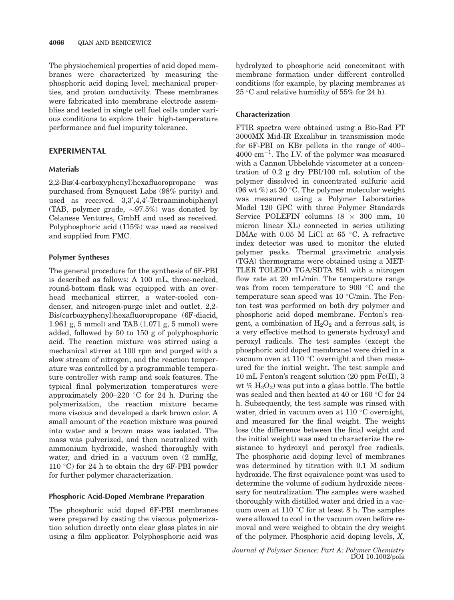The physiochemical properties of acid doped membranes were characterized by measuring the phosphoric acid doping level, mechanical properties, and proton conductivity. These membranes were fabricated into membrane electrode assemblies and tested in single cell fuel cells under various conditions to explore their high-temperature performance and fuel impurity tolerance.

# EXPERIMENTAL

# Materials

2,2-Bis(4-carboxyphenyl)hexafluoropropane was purchased from Synquest Labs (98% purity) and used as received. 3,3',4,4'-Tetraaminobiphenyl (TAB, polymer grade,  $\sim 97.5\%$ ) was donated by Celanese Ventures, GmbH and used as received. Polyphosphoric acid (115%) was used as received and supplied from FMC.

# Polymer Syntheses

The general procedure for the synthesis of 6F-PBI is described as follows: A 100 mL, three-necked, round-bottom flask was equipped with an overhead mechanical stirrer, a water-cooled condenser, and nitrogen-purge inlet and outlet. 2,2- Bis(carboxyphenyl)hexafluoropropane (6F-diacid, 1.961 g, 5 mmol) and TAB (1.071 g, 5 mmol) were added, followed by 50 to 150 g of polyphosphoric acid. The reaction mixture was stirred using a mechanical stirrer at 100 rpm and purged with a slow stream of nitrogen, and the reaction temperature was controlled by a programmable temperature controller with ramp and soak features. The typical final polymerization temperatures were approximately 200–220 °C for 24 h. During the polymerization, the reaction mixture became more viscous and developed a dark brown color. A small amount of the reaction mixture was poured into water and a brown mass was isolated. The mass was pulverized, and then neutralized with ammonium hydroxide, washed thoroughly with water, and dried in a vacuum oven  $(2 \text{ mmHg})$ , 110 °C) for 24 h to obtain the dry 6F-PBI powder for further polymer characterization.

## Phosphoric Acid-Doped Membrane Preparation

The phosphoric acid doped 6F-PBI membranes were prepared by casting the viscous polymerization solution directly onto clear glass plates in air using a film applicator. Polyphosphoric acid was

hydrolyzed to phosphoric acid concomitant with membrane formation under different controlled conditions (for example, by placing membranes at  $25^{\circ}$ C and relative humidity of 55% for 24 h).

# Characterization

FTIR spectra were obtained using a Bio-Rad FT 3000MX Mid-IR Excalibur in transmission mode for 6F-PBI on KBr pellets in the range of 400–  $4000 \text{ cm}^{-1}$ . The I.V. of the polymer was measured with a Cannon Ubbelohde viscometer at a concentration of 0.2 g dry PBI/100 mL solution of the polymer dissolved in concentrated sulfuric acid (96 wt  $\%$ ) at 30 °C. The polymer molecular weight was measured using a Polymer Laboratories Model 120 GPC with three Polymer Standards Service POLEFIN columns  $(8 \times 300 \text{ mm}, 10$ micron linear XL) connected in series utilizing DMAc with 0.05 M LiCl at 65  $\degree$ C. A refractive index detector was used to monitor the eluted polymer peaks. Thermal gravimetric analysis (TGA) thermograms were obtained using a MET-TLER TOLEDO TGA/SDTA 851 with a nitrogen flow rate at 20 mL/min. The temperature range was from room temperature to 900  $\degree$ C and the temperature scan speed was  $10^{\circ}$ C/min. The Fenton test was performed on both dry polymer and phosphoric acid doped membrane. Fenton's reagent, a combination of  $H_2O_2$  and a ferrous salt, is a very effective method to generate hydroxyl and peroxyl radicals. The test samples (except the phosphoric acid doped membrane) were dried in a vacuum oven at  $110^{\circ}$ C overnight and then measured for the initial weight. The test sample and 10 mL Fenton's reagent solution (20 ppm Fe(II), 3 wt %  $H_2O_2$  was put into a glass bottle. The bottle was sealed and then heated at 40 or 160  $^{\circ}$ C for 24 h. Subsequently, the test sample was rinsed with water, dried in vacuum oven at  $110^{\circ}$ C overnight, and measured for the final weight. The weight loss (the difference between the final weight and the initial weight) was used to characterize the resistance to hydroxyl and peroxyl free radicals. The phosphoric acid doping level of membranes was determined by titration with 0.1 M sodium hydroxide. The first equivalence point was used to determine the volume of sodium hydroxide necessary for neutralization. The samples were washed thoroughly with distilled water and dried in a vacuum oven at  $110$  °C for at least 8 h. The samples were allowed to cool in the vacuum oven before removal and were weighed to obtain the dry weight of the polymer. Phosphoric acid doping levels, X,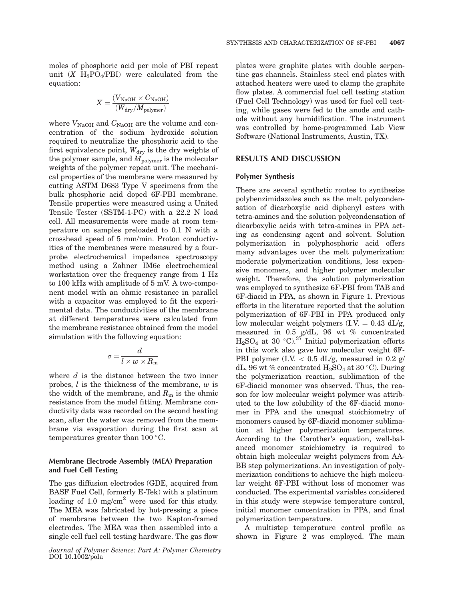$$
X=\frac{(V_{\rm NaOH} \times C_{\rm NaOH})}{(W_{\rm dry}/M_{\rm polymer})}
$$

where  $V_{\text{NaOH}}$  and  $C_{\text{NaOH}}$  are the volume and concentration of the sodium hydroxide solution required to neutralize the phosphoric acid to the first equivalence point,  $W_{\text{dry}}$  is the dry weights of the polymer sample, and  $M_{\text{polymer}}$  is the molecular weights of the polymer repeat unit. The mechanical properties of the membrane were measured by cutting ASTM D683 Type V specimens from the bulk phosphoric acid doped 6F-PBI membrane. Tensile properties were measured using a United Tensile Tester (SSTM-1-PC) with a 22.2 N load cell. All measurements were made at room temperature on samples preloaded to 0.1 N with a crosshead speed of 5 mm/min. Proton conductivities of the membranes were measured by a fourprobe electrochemical impedance spectroscopy method using a Zahner IM6e electrochemical workstation over the frequency range from 1 Hz to 100 kHz with amplitude of 5 mV. A two-component model with an ohmic resistance in parallel with a capacitor was employed to fit the experimental data. The conductivities of the membrane at different temperatures were calculated from the membrane resistance obtained from the model simulation with the following equation:

$$
\sigma = \frac{d}{l \times w \times R_{\rm m}}
$$

where  $d$  is the distance between the two inner probes,  $l$  is the thickness of the membrane,  $w$  is the width of the membrane, and  $R<sub>m</sub>$  is the ohmic resistance from the model fitting. Membrane conductivity data was recorded on the second heating scan, after the water was removed from the membrane via evaporation during the first scan at temperatures greater than  $100^{\circ}$ C.

# Membrane Electrode Assembly (MEA) Preparation and Fuel Cell Testing

The gas diffusion electrodes (GDE, acquired from BASF Fuel Cell, formerly E-Tek) with a platinum loading of 1.0 mg/cm<sup>2</sup> were used for this study. The MEA was fabricated by hot-pressing a piece of membrane between the two Kapton-framed electrodes. The MEA was then assembled into a single cell fuel cell testing hardware. The gas flow

Journal of Polymer Science: Part A: Polymer Chemistry DOI 10.1002/pola

plates were graphite plates with double serpentine gas channels. Stainless steel end plates with attached heaters were used to clamp the graphite flow plates. A commercial fuel cell testing station (Fuel Cell Technology) was used for fuel cell testing, while gases were fed to the anode and cathode without any humidification. The instrument was controlled by home-programmed Lab View Software (National Instruments, Austin, TX).

## RESULTS AND DISCUSSION

## Polymer Synthesis

There are several synthetic routes to synthesize polybenzimidazoles such as the melt polycondensation of dicarboxylic acid diphenyl esters with tetra-amines and the solution polycondensation of dicarboxylic acids with tetra-amines in PPA acting as condensing agent and solvent. Solution polymerization in polyphosphoric acid offers many advantages over the melt polymerization: moderate polymerization conditions, less expensive monomers, and higher polymer molecular weight. Therefore, the solution polymerization was employed to synthesize 6F-PBI from TAB and 6F-diacid in PPA, as shown in Figure 1. Previous efforts in the literature reported that the solution polymerization of 6F-PBI in PPA produced only low molecular weight polymers  $(I.V. = 0.43$  dL/g, measured in 0.5 g/dL, 96 wt % concentrated  $H_2SO_4$  at 30 °C).<sup>37</sup> Initial polymerization efforts in this work also gave low molecular weight 6F-PBI polymer (I.V.  $< 0.5$  dL/g, measured in 0.2 g/ dL, 96 wt % concentrated  $H_2SO_4$  at 30 °C). During the polymerization reaction, sublimation of the 6F-diacid monomer was observed. Thus, the reason for low molecular weight polymer was attributed to the low solubility of the 6F-diacid monomer in PPA and the unequal stoichiometry of monomers caused by 6F-diacid monomer sublimation at higher polymerization temperatures. According to the Carother's equation, well-balanced monomer stoichiometry is required to obtain high molecular weight polymers from AA-BB step polymerizations. An investigation of polymerization conditions to achieve the high molecular weight 6F-PBI without loss of monomer was conducted. The experimental variables considered in this study were stepwise temperature control, initial monomer concentration in PPA, and final polymerization temperature.

A multistep temperature control profile as shown in Figure 2 was employed. The main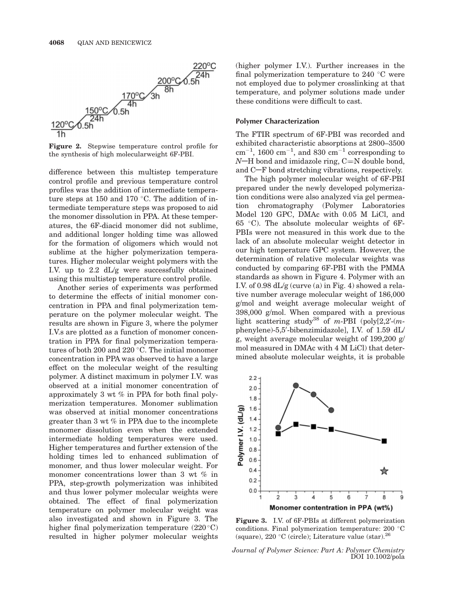

Figure 2. Stepwise temperature control profile for the synthesis of high molecularweight 6F-PBI.

difference between this multistep temperature control profile and previous temperature control profiles was the addition of intermediate temperature steps at 150 and 170  $\degree$ C. The addition of intermediate temperature steps was proposed to aid the monomer dissolution in PPA. At these temperatures, the 6F-diacid monomer did not sublime, and additional longer holding time was allowed for the formation of oligomers which would not sublime at the higher polymerization temperatures. Higher molecular weight polymers with the I.V. up to 2.2 dL/g were successfully obtained using this multistep temperature control profile.

Another series of experiments was performed to determine the effects of initial monomer concentration in PPA and final polymerization temperature on the polymer molecular weight. The results are shown in Figure 3, where the polymer I.V.s are plotted as a function of monomer concentration in PPA for final polymerization temperatures of both 200 and 220  $\degree$ C. The initial monomer concentration in PPA was observed to have a large effect on the molecular weight of the resulting polymer. A distinct maximum in polymer I.V. was observed at a initial monomer concentration of approximately 3 wt % in PPA for both final polymerization temperatures. Monomer sublimation was observed at initial monomer concentrations greater than 3 wt % in PPA due to the incomplete monomer dissolution even when the extended intermediate holding temperatures were used. Higher temperatures and further extension of the holding times led to enhanced sublimation of monomer, and thus lower molecular weight. For monomer concentrations lower than 3 wt % in PPA, step-growth polymerization was inhibited and thus lower polymer molecular weights were obtained. The effect of final polymerization temperature on polymer molecular weight was also investigated and shown in Figure 3. The higher final polymerization temperature  $(220^{\circ}C)$ resulted in higher polymer molecular weights

(higher polymer I.V.). Further increases in the final polymerization temperature to  $240 °C$  were not employed due to polymer crosslinking at that temperature, and polymer solutions made under these conditions were difficult to cast.

#### Polymer Characterization

The FTIR spectrum of 6F-PBI was recorded and exhibited characteristic absorptions at 2800–3500  $\text{cm}^{-1}$ , 1600  $\text{cm}^{-1}$ , and 830  $\text{cm}^{-1}$  corresponding to  $N-H$  bond and imidazole ring,  $C=N$  double bond, and  $C-F$  bond stretching vibrations, respectively.

The high polymer molecular weight of 6F-PBI prepared under the newly developed polymerization conditions were also analyzed via gel permeation chromatography (Polymer Laboratories Model 120 GPC, DMAc with 0.05 M LiCl, and  $65$  °C). The absolute molecular weights of  $6F-$ PBIs were not measured in this work due to the lack of an absolute molecular weight detector in our high temperature GPC system. However, the determination of relative molecular weights was conducted by comparing 6F-PBI with the PMMA standards as shown in Figure 4. Polymer with an I.V. of 0.98  $dL/g$  (curve (a) in Fig. 4) showed a relative number average molecular weight of 186,000 g/mol and weight average molecular weight of 398,000 g/mol. When compared with a previous light scattering study<sup>38</sup> of m-PBI (poly[2,2'-(mphenylene)-5,5'-bibenzimidazole], I.V. of 1.59 dL/ g, weight average molecular weight of 199,200 g/ mol measured in DMAc with 4 M LiCl) that determined absolute molecular weights, it is probable



Figure 3. I.V. of 6F-PBIs at different polymerization conditions. Final polymerization temperature: 200 °C (square), 220 °C (circle); Literature value (star). <sup>26</sup>

Journal of Polymer Science: Part A: Polymer Chemistry DOI 10.1002/pola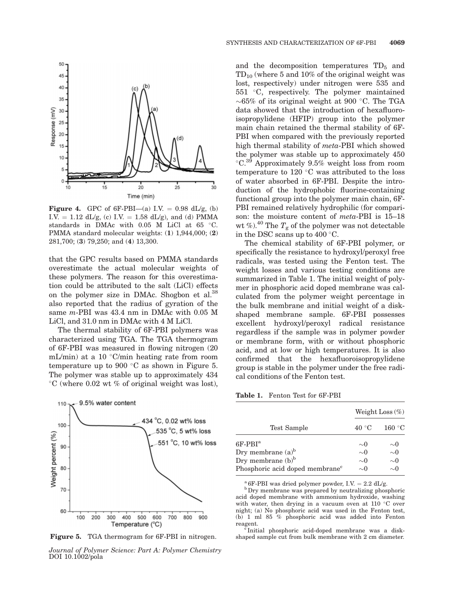

**Figure 4.** GPC of 6F-PBI—(a) I.V. = 0.98 dL/g, (b) I.V. = 1.12 dL/g, (c) I.V. = 1.58 dL/g), and (d) PMMA standards in DMAc with 0.05 M LiCl at 65 °C. PMMA standard molecular weights: (1) 1,944,000; (2) 281,700; (3) 79,250; and (4) 13,300.

that the GPC results based on PMMA standards overestimate the actual molecular weights of these polymers. The reason for this overestimation could be attributed to the salt (LiCl) effects on the polymer size in DMAc. Shogbon et al.<sup>38</sup> also reported that the radius of gyration of the same m-PBI was 43.4 nm in DMAc with 0.05 M LiCl, and 31.0 nm in DMAc with 4 M LiCl.

The thermal stability of 6F-PBI polymers was characterized using TGA. The TGA thermogram of 6F-PBI was measured in flowing nitrogen (20 mL/min) at a 10  $\degree$ C/min heating rate from room temperature up to 900  $\degree$ C as shown in Figure 5. The polymer was stable up to approximately 434  $\degree$ C (where 0.02 wt % of original weight was lost),



Figure 5. TGA thermogram for 6F-PBI in nitrogen.

Journal of Polymer Science: Part A: Polymer Chemistry DOI 10.1002/pola

and the decomposition temperatures  $TD_5$  and  $TD_{10}$  (where 5 and 10% of the original weight was lost, respectively) under nitrogen were 535 and  $551$  °C, respectively. The polymer maintained  $\sim$  65% of its original weight at 900 °C. The TGA data showed that the introduction of hexafluoroisopropylidene (HFIP) group into the polymer main chain retained the thermal stability of 6F-PBI when compared with the previously reported high thermal stability of meta-PBI which showed the polymer was stable up to approximately 450  $\mathrm{C}^{\,39}$  Approximately 9.5% weight loss from room temperature to 120  $\degree$ C was attributed to the loss of water absorbed in 6F-PBI. Despite the introduction of the hydrophobic fluorine-containing functional group into the polymer main chain, 6F-PBI remained relatively hydrophilic (for comparison: the moisture content of meta-PBI is 15–18 wt %).<sup>40</sup> The  $T_g$  of the polymer was not detectable in the DSC scans up to 400 °C.

The chemical stability of 6F-PBI polymer, or specifically the resistance to hydroxyl/peroxyl free radicals, was tested using the Fenton test. The weight losses and various testing conditions are summarized in Table 1. The initial weight of polymer in phosphoric acid doped membrane was calculated from the polymer weight percentage in the bulk membrane and initial weight of a diskshaped membrane sample. 6F-PBI possesses excellent hydroxyl/peroxyl radical resistance regardless if the sample was in polymer powder or membrane form, with or without phosphoric acid, and at low or high temperatures. It is also confirmed that the hexafluoroisopropylidene group is stable in the polymer under the free radical conditions of the Fenton test.

Table 1. Fenton Test for 6F-PBI

| Test Sample                                                         | Weight Loss $(\%)$   |                             |
|---------------------------------------------------------------------|----------------------|-----------------------------|
|                                                                     | 40 °C                | 160 °C                      |
| $6F-PBIa$                                                           | $\sim$ 0             | $\sim$ 0                    |
| Dry membrane $(a)^b$                                                | $\sim 0$             | $\sim 0$                    |
| Dry membrane $(b)^b$<br>Phosphoric acid doped membrane <sup>c</sup> | $\sim 0$<br>$\sim$ 0 | $\sim 0$<br>$\sim$ $\Omega$ |

<sup>a</sup> 6F-PBI was dried polymer powder, I.V. = 2.2 dL/g. b Dry membrane was prepared by neutralizing phosphoric acid doped membrane with ammonium hydroxide, washing with water, then drying in a vacuum oven at 110  $\degree$ C over night; (a) No phosphoric acid was used in the Fenton test, (b) 1 ml 85 % phosphoric acid was added into Fenton

reagent.  $\lq$  Initial phosphoric acid-doped membrane was a diskshaped sample cut from bulk membrane with 2 cm diameter.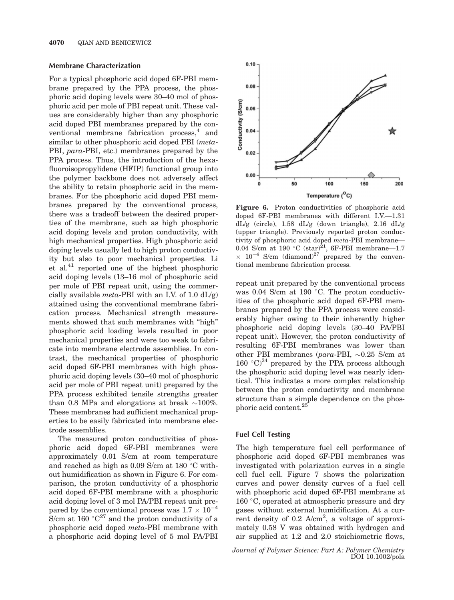## Membrane Characterization

For a typical phosphoric acid doped 6F-PBI membrane prepared by the PPA process, the phosphoric acid doping levels were 30–40 mol of phosphoric acid per mole of PBI repeat unit. These values are considerably higher than any phosphoric acid doped PBI membranes prepared by the conventional membrane fabrication process,<sup>4</sup> and similar to other phosphoric acid doped PBI (*meta*-PBI, para-PBI, etc.) membranes prepared by the PPA process. Thus, the introduction of the hexafluoroisopropylidene (HFIP) functional group into the polymer backbone does not adversely affect the ability to retain phosphoric acid in the membranes. For the phosphoric acid doped PBI membranes prepared by the conventional process, there was a tradeoff between the desired properties of the membrane, such as high phosphoric acid doping levels and proton conductivity, with high mechanical properties. High phosphoric acid doping levels usually led to high proton conductivity but also to poor mechanical properties. Li et al.41 reported one of the highest phosphoric acid doping levels (13–16 mol of phosphoric acid per mole of PBI repeat unit, using the commercially available *meta*-PBI with an I.V. of 1.0  $dL/g$ ) attained using the conventional membrane fabrication process. Mechanical strength measurements showed that such membranes with "high" phosphoric acid loading levels resulted in poor mechanical properties and were too weak to fabricate into membrane electrode assemblies. In contrast, the mechanical properties of phosphoric acid doped 6F-PBI membranes with high phosphoric acid doping levels (30–40 mol of phosphoric acid per mole of PBI repeat unit) prepared by the PPA process exhibited tensile strengths greater than 0.8 MPa and elongations at break  $\sim$ 100%. These membranes had sufficient mechanical properties to be easily fabricated into membrane electrode assemblies.

The measured proton conductivities of phosphoric acid doped 6F-PBI membranes were approximately 0.01 S/cm at room temperature and reached as high as  $0.09$  S/cm at  $180^{\circ}$ C without humidification as shown in Figure 6. For comparison, the proton conductivity of a phosphoric acid doped 6F-PBI membrane with a phosphoric acid doping level of 3 mol PA/PBI repeat unit prepared by the conventional process was  $1.7 \times 10^{-4}$ S/cm at 160  $^{\circ}$ C<sup>27</sup> and the proton conductivity of a phosphoric acid doped meta-PBI membrane with a phosphoric acid doping level of 5 mol PA/PBI



Figure 6. Proton conductivities of phosphoric acid doped 6F-PBI membranes with different I.V.—1.31  $dL/g$  (circle), 1.58  $dL/g$  (down triangle), 2.16  $dL/g$ (upper triangle). Previously reported proton conductivity of phosphoric acid doped meta-PBI membrane— 0.04 S/cm at 190  $^{\circ}$ C (star)<sup>21</sup>, 6F-PBI membrane—1.7  $\times$  10<sup>-4</sup> S/cm (diamond)<sup>27</sup> prepared by the conventional membrane fabrication process.

repeat unit prepared by the conventional process was 0.04 S/cm at 190  $\degree$ C. The proton conductivities of the phosphoric acid doped 6F-PBI membranes prepared by the PPA process were considerably higher owing to their inherently higher phosphoric acid doping levels (30–40 PA/PBI repeat unit). However, the proton conductivity of resulting 6F-PBI membranes was lower than other PBI membranes ( $para$ -PBI,  $\sim 0.25$  S/cm at 160 °C)<sup>24</sup> prepared by the PPA process although the phosphoric acid doping level was nearly identical. This indicates a more complex relationship between the proton conductivity and membrane structure than a simple dependence on the phosphoric acid content.25

# Fuel Cell Testing

The high temperature fuel cell performance of phosphoric acid doped 6F-PBI membranes was investigated with polarization curves in a single cell fuel cell. Figure 7 shows the polarization curves and power density curves of a fuel cell with phosphoric acid doped 6F-PBI membrane at  $160 °C$ , operated at atmospheric pressure and dry gases without external humidification. At a current density of  $0.2$  A/cm<sup>2</sup>, a voltage of approximately 0.58 V was obtained with hydrogen and air supplied at 1.2 and 2.0 stoichiometric flows,

Journal of Polymer Science: Part A: Polymer Chemistry DOI 10.1002/pola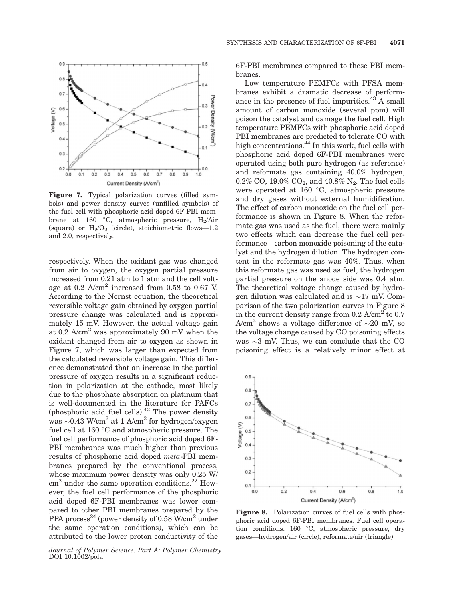

Figure 7. Typical polarization curves (filled symbols) and power density curves (unfilled symbols) of the fuel cell with phosphoric acid doped 6F-PBI membrane at 160 °C, atmospheric pressure,  $H_2/Air$ (square) or  $H_2/O_2$  (circle), stoichiometric flows—1.2 and 2.0, respectively.

respectively. When the oxidant gas was changed from air to oxygen, the oxygen partial pressure increased from 0.21 atm to 1 atm and the cell voltage at  $0.2$  A/cm<sup>2</sup> increased from  $0.58$  to  $0.67$  V. According to the Nernst equation, the theoretical reversible voltage gain obtained by oxygen partial pressure change was calculated and is approximately 15 mV. However, the actual voltage gain at 0.2  $A/cm^2$  was approximately 90 mV when the oxidant changed from air to oxygen as shown in Figure 7, which was larger than expected from the calculated reversible voltage gain. This difference demonstrated that an increase in the partial pressure of oxygen results in a significant reduction in polarization at the cathode, most likely due to the phosphate absorption on platinum that is well-documented in the literature for PAFCs (phosphoric acid fuel cells). $42$  The power density was  $\sim$ 0.43 W/cm<sup>2</sup> at 1 A/cm<sup>2</sup> for hydrogen/oxygen fuel cell at  $160^{\circ}$ C and atmospheric pressure. The fuel cell performance of phosphoric acid doped 6F-PBI membranes was much higher than previous results of phosphoric acid doped meta-PBI membranes prepared by the conventional process, whose maximum power density was only 0.25 W/  $\text{cm}^2$  under the same operation conditions.<sup>22</sup> However, the fuel cell performance of the phosphoric acid doped 6F-PBI membranes was lower compared to other PBI membranes prepared by the PPA process<sup>24</sup> (power density of 0.58 W/cm<sup>2</sup> under the same operation conditions), which can be attributed to the lower proton conductivity of the

Journal of Polymer Science: Part A: Polymer Chemistry DOI 10.1002/pola

6F-PBI membranes compared to these PBI membranes.

Low temperature PEMFCs with PFSA membranes exhibit a dramatic decrease of performance in the presence of fuel impurities. $43$  A small amount of carbon monoxide (several ppm) will poison the catalyst and damage the fuel cell. High temperature PEMFCs with phosphoric acid doped PBI membranes are predicted to tolerate CO with high concentrations. $^{44}$  In this work, fuel cells with phosphoric acid doped 6F-PBI membranes were operated using both pure hydrogen (as reference) and reformate gas containing 40.0% hydrogen,  $0.2\%$  CO,  $19.0\%$  CO<sub>2</sub>, and  $40.8\%$  N<sub>2</sub>. The fuel cells were operated at  $160$  °C, atmospheric pressure and dry gases without external humidification. The effect of carbon monoxide on the fuel cell performance is shown in Figure 8. When the reformate gas was used as the fuel, there were mainly two effects which can decrease the fuel cell performance—carbon monoxide poisoning of the catalyst and the hydrogen dilution. The hydrogen content in the reformate gas was 40%. Thus, when this reformate gas was used as fuel, the hydrogen partial pressure on the anode side was 0.4 atm. The theoretical voltage change caused by hydrogen dilution was calculated and is  $\sim$ 17 mV. Comparison of the two polarization curves in Figure 8 in the current density range from  $0.2$  A/cm<sup>2</sup> to  $0.7$ A/cm<sup>2</sup> shows a voltage difference of  $\sim$ 20 mV, so the voltage change caused by CO poisoning effects was  $\sim$ 3 mV. Thus, we can conclude that the CO poisoning effect is a relatively minor effect at



Figure 8. Polarization curves of fuel cells with phosphoric acid doped 6F-PBI membranes. Fuel cell operation conditions: 160 °C, atmospheric pressure, dry gases—hydrogen/air (circle), reformate/air (triangle).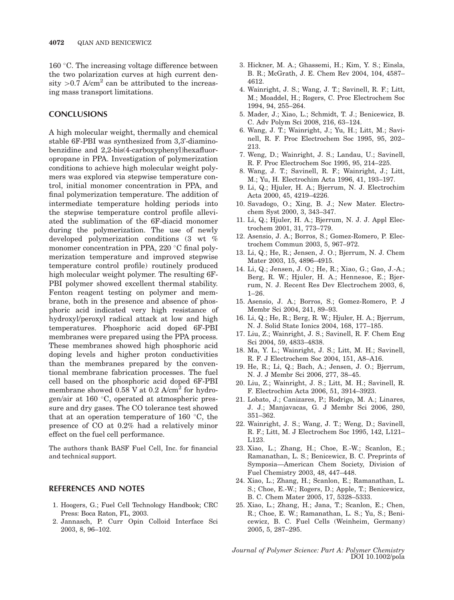$160$  °C. The increasing voltage difference between the two polarization curves at high current density  $>0.7$  A/cm<sup>2</sup> can be attributed to the increasing mass transport limitations.

# **CONCLUSIONS**

A high molecular weight, thermally and chemical stable 6F-PBI was synthesized from 3,3'-diaminobenzidine and 2,2-bis(4-carboxyphenyl)hexafluoropropane in PPA. Investigation of polymerization conditions to achieve high molecular weight polymers was explored via stepwise temperature control, initial monomer concentration in PPA, and final polymerization temperature. The addition of intermediate temperature holding periods into the stepwise temperature control profile alleviated the sublimation of the 6F-diacid monomer during the polymerization. The use of newly developed polymerization conditions (3 wt % monomer concentration in PPA,  $220^{\circ}$ C final polymerization temperature and improved stepwise temperature control profile) routinely produced high molecular weight polymer. The resulting 6F-PBI polymer showed excellent thermal stability. Fenton reagent testing on polymer and membrane, both in the presence and absence of phosphoric acid indicated very high resistance of hydroxyl/peroxyl radical attack at low and high temperatures. Phosphoric acid doped 6F-PBI membranes were prepared using the PPA process. These membranes showed high phosphoric acid doping levels and higher proton conductivities than the membranes prepared by the conventional membrane fabrication processes. The fuel cell based on the phosphoric acid doped 6F-PBI membrane showed  $0.58$  V at  $0.2$  A/cm<sup>2</sup> for hydrogen/air at 160 $\degree$ C, operated at atmospheric pressure and dry gases. The CO tolerance test showed that at an operation temperature of 160  $\degree$ C, the presence of CO at 0.2% had a relatively minor effect on the fuel cell performance.

The authors thank BASF Fuel Cell, Inc. for financial and technical support.

# REFERENCES AND NOTES

- 1. Hoogers, G.; Fuel Cell Technology Handbook; CRC Press: Boca Raton, FL, 2003.
- 2. Jannasch, P. Curr Opin Colloid Interface Sci 2003, 8, 96–102.
- 3. Hickner, M. A.; Ghassemi, H.; Kim, Y. S.; Einsla, B. R.; McGrath, J. E. Chem Rev 2004, 104, 4587– 4612.
- 4. Wainright, J. S.; Wang, J. T.; Savinell, R. F.; Litt, M.; Moaddel, H.; Rogers, C. Proc Electrochem Soc 1994, 94, 255–264.
- 5. Mader, J.; Xiao, L.; Schmidt, T. J.; Benicewicz, B. C. Adv Polym Sci 2008, 216, 63–124.
- 6. Wang, J. T.; Wainright, J.; Yu, H.; Litt, M.; Savinell, R. F. Proc Electrochem Soc 1995, 95, 202– 213.
- 7. Weng, D.; Wainright, J. S.; Landau, U.; Savinell, R. F. Proc Electrochem Soc 1995, 95, 214–225.
- 8. Wang, J. T.; Savinell, R. F.; Wainright, J.; Litt, M.; Yu, H. Electrochim Acta 1996, 41, 193–197.
- 9. Li, Q.; Hjuler, H. A.; Bjerrum, N. J. Electrochim Acta 2000, 45, 4219–4226.
- 10. Savadogo, O.; Xing, B. J.; New Mater. Electrochem Syst 2000, 3, 343–347.
- 11. Li, Q.; Hjuler, H. A.; Bjerrum, N. J. J. Appl Electrochem 2001, 31, 773–779.
- 12. Asensio, J. A.; Borros, S.; Gomez-Romero, P. Electrochem Commun 2003, 5, 967–972.
- 13. Li, Q.; He, R.; Jensen, J. O.; Bjerrum, N. J. Chem Mater 2003, 15, 4896–4915.
- 14. Li, Q.; Jensen, J. O.; He, R.; Xiao, G.; Gao, J.-A.; Berg, R. W.; Hjuler, H. A.; Hennesoe, E.; Bjerrum, N. J. Recent Res Dev Electrochem 2003, 6, 1–26.
- 15. Asensio, J. A.; Borros, S.; Gomez-Romero, P. J Membr Sci 2004, 241, 89–93.
- 16. Li, Q.; He, R.; Berg, R. W.; Hjuler, H. A.; Bjerrum, N. J. Solid State Ionics 2004, 168, 177–185.
- 17. Liu, Z.; Wainright, J. S.; Savinell, R. F. Chem Eng Sci 2004, 59, 4833–4838.
- 18. Ma, Y. L.; Wainright, J. S.; Litt, M. H.; Savinell, R. F. J Electrochem Soc 2004, 151, A8–A16.
- 19. He, R.; Li, Q.; Bach, A.; Jensen, J. O.; Bjerrum, N. J. J Membr Sci 2006, 277, 38–45.
- 20. Liu, Z.; Wainright, J. S.; Litt, M. H.; Savinell, R. F. Electrochim Acta 2006, 51, 3914–3923.
- 21. Lobato, J.; Canizares, P.; Rodrigo, M. A.; Linares, J. J.; Manjavacas, G. J Membr Sci 2006, 280, 351–362.
- 22. Wainright, J. S.; Wang, J. T.; Weng, D.; Savinell, R. F.; Litt, M. J Electrochem Soc 1995, 142, L121– L123.
- 23. Xiao, L.; Zhang, H.; Choe, E.-W.; Scanlon, E.; Ramanathan, L. S.; Benicewicz, B. C. Preprints of Symposia—American Chem Society, Division of Fuel Chemistry 2003, 48, 447–448.
- 24. Xiao, L.; Zhang, H.; Scanlon, E.; Ramanathan, L. S.; Choe, E.-W.; Rogers, D.; Apple, T.; Benicewicz, B. C. Chem Mater 2005, 17, 5328–5333.
- 25. Xiao, L.; Zhang, H.; Jana, T.; Scanlon, E.; Chen, R.; Choe, E. W.; Ramanathan, L. S.; Yu, S.; Benicewicz, B. C. Fuel Cells (Weinheim, Germany) 2005, 5, 287–295.

Journal of Polymer Science: Part A: Polymer Chemistry DOI 10.1002/pola